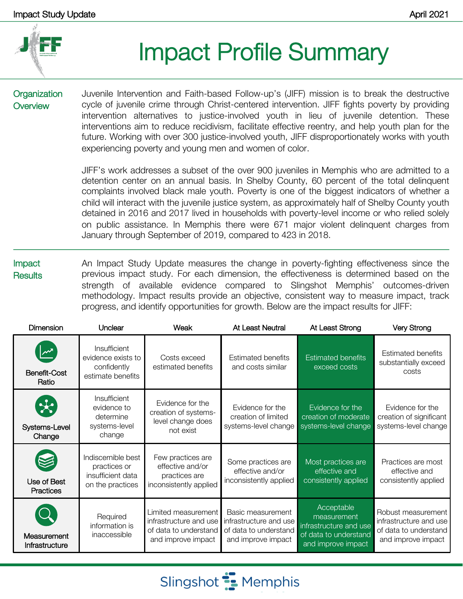

## Impact Profile Summary

**Organization Overview** 

Juvenile Intervention and Faith-based Follow-up's (JIFF) mission is to break the destructive cycle of juvenile crime through Christ-centered intervention. JIFF fights poverty by providing intervention alternatives to justice-involved youth in lieu of juvenile detention. These interventions aim to reduce recidivism, facilitate effective reentry, and help youth plan for the future. Working with over 300 justice-involved youth, JIFF disproportionately works with youth experiencing poverty and young men and women of color.

JIFF's work addresses a subset of the over 900 juveniles in Memphis who are admitted to a detention center on an annual basis. In Shelby County, 60 percent of the total delinquent complaints involved black male youth. Poverty is one of the biggest indicators of whether a child will interact with the juvenile justice system, as approximately half of Shelby County youth detained in 2016 and 2017 lived in households with poverty-level income or who relied solely on public assistance. In Memphis there were 671 major violent delinquent charges from January through September of 2019, compared to 423 in 2018.

Impact **Results** An Impact Study Update measures the change in poverty-fighting effectiveness since the previous impact study. For each dimension, the effectiveness is determined based on the strength of available evidence compared to Slingshot Memphis' outcomes-driven methodology. Impact results provide an objective, consistent way to measure impact, track progress, and identify opportunities for growth. Below are the impact results for JIFF:

| <b>Dimension</b>                                        | Unclear                                                                     | Weak                                                                                         | At Least Neutral                                                                           | At Least Strong                                                                                    | <b>Very Strong</b>                                                                          |
|---------------------------------------------------------|-----------------------------------------------------------------------------|----------------------------------------------------------------------------------------------|--------------------------------------------------------------------------------------------|----------------------------------------------------------------------------------------------------|---------------------------------------------------------------------------------------------|
| $\sqrt{2}$<br><b>Benefit-Cost</b><br>Ratio              | Insufficient<br>evidence exists to<br>confidently<br>estimate benefits      | Costs exceed<br>estimated benefits                                                           | Estimated benefits<br>and costs similar                                                    | <b>Estimated benefits</b><br>exceed costs                                                          | <b>Estimated benefits</b><br>substantially exceed<br>costs                                  |
| $\left( \frac{1}{2} \right)$<br>Systems-Level<br>Change | Insufficient<br>evidence to<br>determine<br>systems-level<br>change         | Evidence for the<br>creation of systems-<br>level change does<br>not exist                   | Evidence for the<br>creation of limited<br>systems-level change                            | Evidence for the<br>creation of moderate<br>systems-level change                                   | Evidence for the<br>creation of significant<br>systems-level change                         |
| Use of Best<br>Practices                                | Indiscernible best<br>practices or<br>insufficient data<br>on the practices | Few practices are<br>effective and/or<br>practices are<br>inconsistently applied             | Some practices are<br>effective and/or<br>inconsistently applied                           | Most practices are<br>effective and<br>consistently applied                                        | Practices are most<br>effective and<br>consistently applied                                 |
| Measurement<br>Infrastructure                           | Required<br>information is<br>inaccessible                                  | Limited measurement<br>infrastructure and use<br>of data to understand<br>and improve impact | Basic measurement<br>infrastructure and use<br>of data to understand<br>and improve impact | Acceptable<br>measurement<br>infrastructure and use<br>of data to understand<br>and improve impact | Robust measurement<br>infrastructure and use<br>of data to understand<br>and improve impact |

Slingshot **:** Memphis